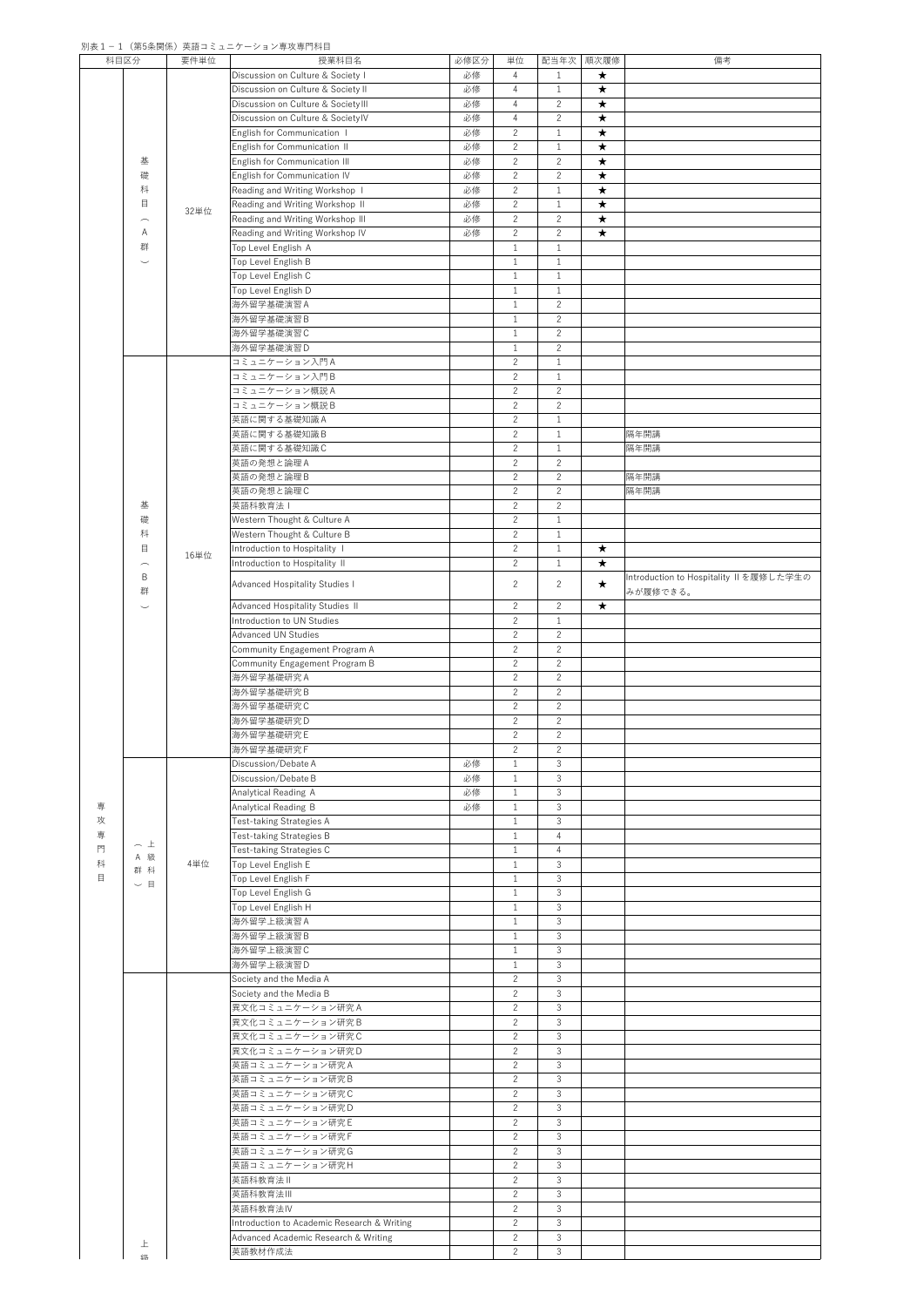## 別表1-1 (第5条関係)英語コミュニケーション専攻専門科目

| 科目区分 |                               | 要件単位 | 授業科目名                                       | 必修区分 | 単位             | 配当年次           | 順次履修       | 備考                                      |
|------|-------------------------------|------|---------------------------------------------|------|----------------|----------------|------------|-----------------------------------------|
|      |                               |      | Discussion on Culture & Society I           | 必修   | 4              | 1              | $\bigstar$ |                                         |
|      |                               |      | Discussion on Culture & Society II          | 必修   | 4              | $\mathbf{1}$   | $\bigstar$ |                                         |
|      |                               |      | Discussion on Culture & Society III         | 必修   | $\overline{4}$ | $\overline{2}$ | $\star$    |                                         |
|      |                               |      |                                             |      |                |                |            |                                         |
|      |                               |      | Discussion on Culture & SocietylV           | 必修   | $\overline{4}$ | $\overline{2}$ | $\bigstar$ |                                         |
|      |                               |      | English for Communication I                 | 必修   | $\overline{2}$ | $\mathbf{1}$   | $\bigstar$ |                                         |
|      |                               |      | English for Communication II                | 必修   | $\overline{2}$ | $\mathbf{1}$   | $\star$    |                                         |
|      | 基                             |      | English for Communication III               | 必修   | $\overline{2}$ | $\overline{2}$ | $\bigstar$ |                                         |
|      | 礎                             |      | English for Communication IV                | 必修   | $\overline{2}$ | $\overline{2}$ | $\bigstar$ |                                         |
|      |                               |      |                                             |      |                |                |            |                                         |
|      | 科                             |      | Reading and Writing Workshop I              | 必修   | $\overline{2}$ | $\mathbf{1}$   | $\bigstar$ |                                         |
|      | $\Box$                        | 32単位 | Reading and Writing Workshop II             | 必修   | $\overline{2}$ | $\mathbf{1}$   | $\star$    |                                         |
|      | $\frown$                      |      | Reading and Writing Workshop III            | 必修   | $\overline{2}$ | $\overline{2}$ | $\bigstar$ |                                         |
|      | A                             |      | Reading and Writing Workshop IV             | 必修   | $\overline{2}$ | $\overline{2}$ | $\bigstar$ |                                         |
|      | 群                             |      | Top Level English A                         |      | $\mathbf{1}$   | $\mathbf{1}$   |            |                                         |
|      |                               |      | Top Level English B                         |      | $\mathbf{1}$   | $\mathbf{1}$   |            |                                         |
|      | $\smile$                      |      |                                             |      |                |                |            |                                         |
|      |                               |      | Top Level English C                         |      | $\mathbf{1}$   | $\mathbf{1}$   |            |                                         |
|      |                               |      | Top Level English D                         |      | $\mathbf{1}$   | $\mathbf{1}$   |            |                                         |
|      |                               |      | 海外留学基礎演習A                                   |      | $\mathbf{1}$   | $\overline{2}$ |            |                                         |
|      |                               |      | 海外留学基礎演習 B                                  |      | $\mathbf{1}$   | $\overline{2}$ |            |                                         |
|      |                               |      | 海外留学基礎演習C                                   |      | $\mathbf{1}$   | $\overline{2}$ |            |                                         |
|      |                               |      | 海外留学基礎演習D                                   |      | $\mathbf{1}$   | $\overline{2}$ |            |                                         |
|      |                               |      |                                             |      |                |                |            |                                         |
|      |                               |      | コミュニケーション入門A                                |      | $\overline{2}$ | $\mathbf{1}$   |            |                                         |
|      |                               |      | コミュニケーション入門B                                |      | $\overline{2}$ | $\mathbf{1}$   |            |                                         |
|      |                               |      | コミュニケーション概説A                                |      | $\overline{2}$ | $\overline{2}$ |            |                                         |
|      |                               |      | コミュニケーション概説B                                |      | $\overline{2}$ | $\overline{2}$ |            |                                         |
|      |                               |      | 英語に関する基礎知識A                                 |      | $\overline{2}$ | $\mathbf{1}$   |            |                                         |
|      |                               |      | 英語に関する基礎知識B                                 |      | $\overline{2}$ | $\mathbf{1}$   |            | 隔年開講                                    |
|      |                               |      |                                             |      |                |                |            |                                         |
|      |                               |      | 英語に関する基礎知識C                                 |      | $\overline{2}$ | $\mathbf{1}$   |            | 隔年開講                                    |
|      |                               |      | 英語の発想と論理A                                   |      | $\overline{2}$ | $\overline{2}$ |            |                                         |
|      |                               |      | 英語の発想と論理B                                   |      | $\overline{2}$ | $\overline{2}$ |            | 隔年開講                                    |
|      |                               |      | 英語の発想と論理 C                                  |      | $\overline{2}$ | $\overline{2}$ |            | 隔年開講                                    |
|      | 基                             |      | 英語科教育法                                      |      | $\overline{2}$ | $\overline{2}$ |            |                                         |
|      |                               |      |                                             |      |                |                |            |                                         |
|      | 礎                             |      | Western Thought & Culture A                 |      | $\overline{2}$ | $\mathbf{1}$   |            |                                         |
|      | 科                             |      | Western Thought & Culture B                 |      | $\overline{2}$ | $\mathbf{1}$   |            |                                         |
|      | 目                             |      | Introduction to Hospitality I               |      | $\overline{2}$ | $\mathbf{1}$   | $\star$    |                                         |
|      | $\frown$                      | 16単位 | Introduction to Hospitality II              |      | $\overline{2}$ | $\mathbf{1}$   | $\star$    |                                         |
|      | $\sf B$                       |      |                                             |      |                |                |            | Introduction to Hospitality II を履修した学生の |
|      |                               |      | Advanced Hospitality Studies I              |      | $\overline{2}$ | $\overline{2}$ | $\star$    |                                         |
|      | 群                             |      |                                             |      |                |                |            | みが履修できる。                                |
|      | $\smile$                      |      | Advanced Hospitality Studies II             |      | $\overline{2}$ | $\overline{2}$ | $\star$    |                                         |
|      |                               |      | Introduction to UN Studies                  |      | $\overline{2}$ | $\mathbf{1}$   |            |                                         |
|      |                               |      | <b>Advanced UN Studies</b>                  |      | $\overline{2}$ | $\overline{2}$ |            |                                         |
|      |                               |      | Community Engagement Program A              |      | $\overline{2}$ | $\overline{2}$ |            |                                         |
|      |                               |      |                                             |      |                |                |            |                                         |
|      |                               |      | Community Engagement Program B              |      | $\overline{2}$ | $\overline{2}$ |            |                                         |
|      |                               |      | 海外留学基礎研究A                                   |      | $\overline{2}$ | $\overline{2}$ |            |                                         |
|      |                               |      | 海外留学基礎研究 B                                  |      | $\overline{2}$ | $\overline{2}$ |            |                                         |
|      |                               |      | 海外留学基礎研究C                                   |      | $\overline{2}$ | $\overline{2}$ |            |                                         |
|      |                               |      | 海外留学基礎研究D                                   |      | $\overline{2}$ | $\overline{2}$ |            |                                         |
|      |                               |      | 海外留学基礎研究 E                                  |      | $\overline{2}$ | $\overline{2}$ |            |                                         |
|      |                               |      |                                             |      |                |                |            |                                         |
|      |                               |      | 海外留学基礎研究F                                   |      | $\overline{2}$ | $\overline{2}$ |            |                                         |
|      |                               |      | Discussion/Debate A                         | 必修   |                | 3              |            |                                         |
|      |                               |      | Discussion/Debate B                         | 必修   | $\mathbf{1}$   | 3              |            |                                         |
|      |                               |      | Analytical Reading A                        | 必修   | $\mathbf{1}$   | 3              |            |                                         |
| 専    |                               |      | Analytical Reading B                        | 必修   | $\mathbf{1}$   | 3              |            |                                         |
|      |                               |      |                                             |      |                |                |            |                                         |
| 攻    |                               |      | Test-taking Strategies A                    |      | $\mathbf{1}$   | 3              |            |                                         |
| 専    | $\frown \bot$                 |      | Test-taking Strategies B                    |      | $\mathbf{1}$   | $\overline{4}$ |            |                                         |
| 門    | A 級                           |      | Test-taking Strategies C                    |      | $\mathbf{1}$   | 4              |            |                                         |
| 科    |                               | 4単位  | Top Level English E                         |      | $\mathbf 1$    | 3              |            |                                         |
| 目    | 群 科                           |      | Top Level English F                         |      | $\mathbf{1}$   | 3              |            |                                         |
|      | 目<br>$\overline{\phantom{0}}$ |      | Top Level English G                         |      | $\mathbf{1}$   | 3              |            |                                         |
|      |                               |      |                                             |      |                |                |            |                                         |
|      |                               |      | Top Level English H                         |      | $\mathbf{1}$   | 3              |            |                                         |
|      |                               |      | 海外留学上級演習 A                                  |      | $\mathbf{1}$   | 3              |            |                                         |
|      |                               |      | 海外留学上級演習 B                                  |      | 1              | 3              |            |                                         |
|      |                               |      | 海外留学上級演習C                                   |      | $\mathbf{1}$   | 3              |            |                                         |
|      |                               |      | 海外留学上級演習D                                   |      | $\mathbf{1}$   | 3              |            |                                         |
|      |                               |      |                                             |      | $\overline{2}$ | 3              |            |                                         |
|      |                               |      | Society and the Media A                     |      |                |                |            |                                         |
|      |                               |      | Society and the Media B                     |      | $\overline{2}$ | 3              |            |                                         |
|      |                               |      | 異文化コミュニケーション研究A                             |      | $\overline{2}$ | 3              |            |                                         |
|      |                               |      | 異文化コミュニケーション研究B                             |      | $\overline{2}$ | 3              |            |                                         |
|      |                               |      | 異文化コミュニケーション研究C                             |      | $\overline{2}$ | 3              |            |                                         |
|      |                               |      | 異文化コミュニケーション研究D                             |      | $\overline{2}$ | 3              |            |                                         |
|      |                               |      |                                             |      | $\overline{2}$ |                |            |                                         |
|      |                               |      | 英語コミュニケーション研究A                              |      |                | 3              |            |                                         |
|      |                               |      | 英語コミュニケーション研究B                              |      | $\overline{2}$ | 3              |            |                                         |
|      |                               |      | 英語コミュニケーション研究 C                             |      | $\overline{2}$ | 3              |            |                                         |
|      |                               |      | 英語コミュニケーション研究D                              |      | $\overline{2}$ | 3              |            |                                         |
|      |                               |      | 英語コミュニケーション研究E                              |      | $\overline{2}$ | 3              |            |                                         |
|      |                               |      |                                             |      |                |                |            |                                         |
|      |                               |      | 英語コミュニケーション研究 F                             |      | $\overline{2}$ | $\mathcal{S}$  |            |                                         |
|      |                               |      | 英語コミュニケーション研究G                              |      | $\overline{2}$ | $\mathfrak{Z}$ |            |                                         |
|      |                               |      | 英語コミュニケーション研究H                              |      | $\overline{2}$ | 3              |            |                                         |
|      |                               |      | 英語科教育法Ⅱ                                     |      | $\overline{2}$ | 3              |            |                                         |
|      |                               |      | 英語科教育法Ⅲ                                     |      | $\overline{2}$ | 3              |            |                                         |
|      |                               |      |                                             |      |                |                |            |                                         |
|      |                               |      | 英語科教育法IV                                    |      | $\overline{2}$ | 3              |            |                                         |
|      |                               |      | Introduction to Academic Research & Writing |      | $\overline{2}$ | 3              |            |                                         |
|      |                               |      | Advanced Academic Research & Writing        |      | $\overline{2}$ | 3              |            |                                         |
|      | 上                             |      | 英語教材作成法                                     |      | 2              | 3              |            |                                         |
|      | 紑                             |      |                                             |      |                |                |            |                                         |